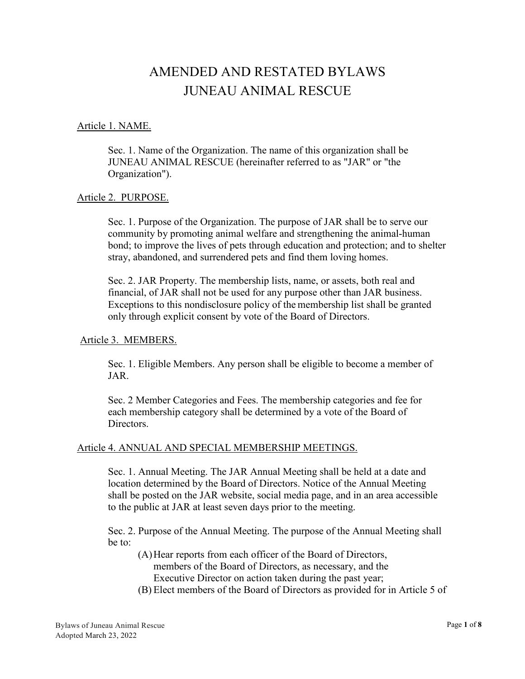# AMENDED AND RESTATED BYLAWS JUNEAU ANIMAL RESCUE

#### Article 1. NAME.

Sec. 1. Name of the Organization. The name of this organization shall be JUNEAU ANIMAL RESCUE (hereinafter referred to as "JAR" or "the Organization").

#### Article 2. PURPOSE.

Sec. 1. Purpose of the Organization. The purpose of JAR shall be to serve our community by promoting animal welfare and strengthening the animal-human bond; to improve the lives of pets through education and protection; and to shelter stray, abandoned, and surrendered pets and find them loving homes.

Sec. 2. JAR Property. The membership lists, name, or assets, both real and financial, of JAR shall not be used for any purpose other than JAR business. Exceptions to this nondisclosure policy of the membership list shall be granted only through explicit consent by vote of the Board of Directors.

#### Article 3. MEMBERS.

Sec. 1. Eligible Members. Any person shall be eligible to become a member of JAR.

Sec. 2 Member Categories and Fees. The membership categories and fee for each membership category shall be determined by a vote of the Board of Directors.

#### Article 4. ANNUAL AND SPECIAL MEMBERSHIP MEETINGS.

Sec. 1. Annual Meeting. The JAR Annual Meeting shall be held at a date and location determined by the Board of Directors. Notice of the Annual Meeting shall be posted on the JAR website, social media page, and in an area accessible to the public at JAR at least seven days prior to the meeting.

Sec. 2. Purpose of the Annual Meeting. The purpose of the Annual Meeting shall be to:

(A)Hear reports from each officer of the Board of Directors,

members of the Board of Directors, as necessary, and the Executive Director on action taken during the past year;

(B) Elect members of the Board of Directors as provided for in Article 5 of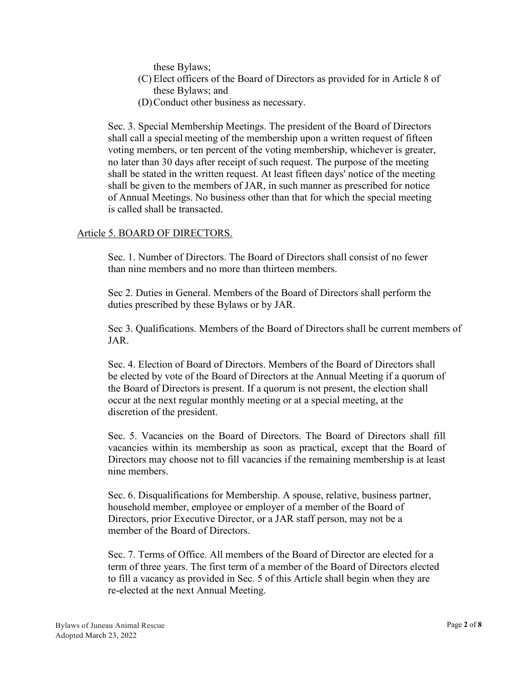these Bylaws;

- (C) Elect officers of the Board of Directors as provided for in Article 8 of these Bylaws; and
- (D)Conduct other business as necessary.

Sec. 3. Special Membership Meetings. The president of the Board of Directors shall call a special meeting of the membership upon a written request of fifteen voting members, or ten percent of the voting membership, whichever is greater, no later than 30 days after receipt of such request. The purpose of the meeting shall be stated in the written request. At least fifteen days' notice of the meeting shall be given to the members of JAR, in such manner as prescribed for notice of Annual Meetings. No business other than that for which the special meeting is called shall be transacted.

# Article 5. BOARD OF DIRECTORS.

Sec. 1. Number of Directors. The Board of Directors shall consist of no fewer than nine members and no more than thirteen members.

Sec 2. Duties in General. Members of the Board of Directors shall perform the duties prescribed by these Bylaws or by JAR.

Sec 3. Qualifications. Members of the Board of Directors shall be current members of JAR.

Sec. 4. Election of Board of Directors. Members of the Board of Directors shall be elected by vote of the Board of Directors at the Annual Meeting if a quorum of the Board of Directors is present. If a quorum is not present, the election shall occur at the next regular monthly meeting or at a special meeting, at the discretion of the president.

Sec. 5. Vacancies on the Board of Directors. The Board of Directors shall fill vacancies within its membership as soon as practical, except that the Board of Directors may choose not to fill vacancies if the remaining membership is at least nine members.

Sec. 6. Disqualifications for Membership. A spouse, relative, business partner, household member, employee or employer of a member of the Board of Directors, prior Executive Director, or a JAR staff person, may not be a member of the Board of Directors.

Sec. 7. Terms of Office. All members of the Board of Director are elected for a term of three years. The first term of a member of the Board of Directors elected to fill a vacancy as provided in Sec. 5 of this Article shall begin when they are re-elected at the next Annual Meeting.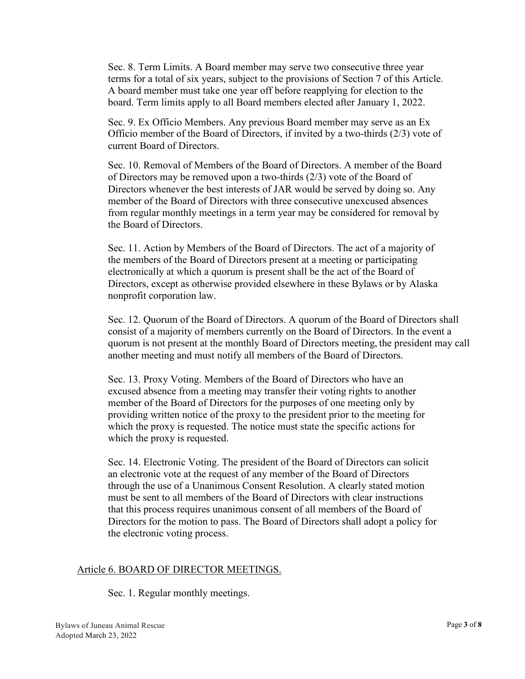Sec. 8. Term Limits. A Board member may serve two consecutive three year terms for a total of six years, subject to the provisions of Section 7 of this Article. A board member must take one year off before reapplying for election to the board. Term limits apply to all Board members elected after January 1, 2022.

Sec. 9. Ex Officio Members. Any previous Board member may serve as an Ex Officio member of the Board of Directors, if invited by a two-thirds (2/3) vote of current Board of Directors.

Sec. 10. Removal of Members of the Board of Directors. A member of the Board of Directors may be removed upon a two-thirds (2/3) vote of the Board of Directors whenever the best interests of JAR would be served by doing so. Any member of the Board of Directors with three consecutive unexcused absences from regular monthly meetings in a term year may be considered for removal by the Board of Directors.

Sec. 11. Action by Members of the Board of Directors. The act of a majority of the members of the Board of Directors present at a meeting or participating electronically at which a quorum is present shall be the act of the Board of Directors, except as otherwise provided elsewhere in these Bylaws or by Alaska nonprofit corporation law.

Sec. 12. Quorum of the Board of Directors. A quorum of the Board of Directors shall consist of a majority of members currently on the Board of Directors. In the event a quorum is not present at the monthly Board of Directors meeting, the president may call another meeting and must notify all members of the Board of Directors.

Sec. 13. Proxy Voting. Members of the Board of Directors who have an excused absence from a meeting may transfer their voting rights to another member of the Board of Directors for the purposes of one meeting only by providing written notice of the proxy to the president prior to the meeting for which the proxy is requested. The notice must state the specific actions for which the proxy is requested.

Sec. 14. Electronic Voting. The president of the Board of Directors can solicit an electronic vote at the request of any member of the Board of Directors through the use of a Unanimous Consent Resolution. A clearly stated motion must be sent to all members of the Board of Directors with clear instructions that this process requires unanimous consent of all members of the Board of Directors for the motion to pass. The Board of Directors shall adopt a policy for the electronic voting process.

# Article 6. BOARD OF DIRECTOR MEETINGS.

Sec. 1. Regular monthly meetings.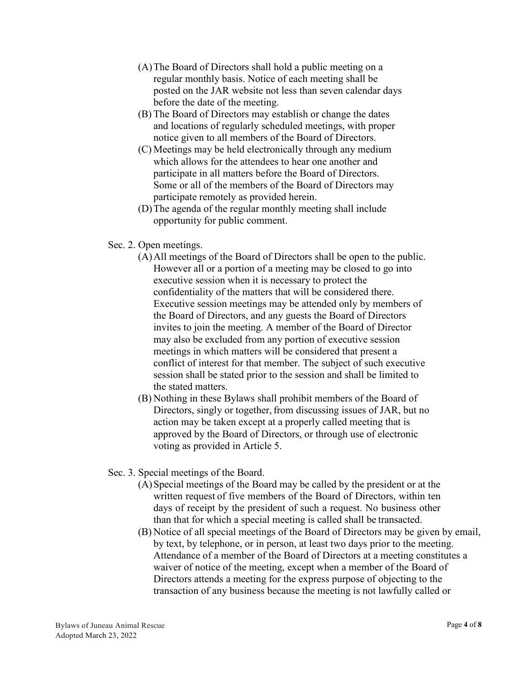- (A)The Board of Directors shall hold a public meeting on a regular monthly basis. Notice of each meeting shall be posted on the JAR website not less than seven calendar days before the date of the meeting.
- (B) The Board of Directors may establish or change the dates and locations of regularly scheduled meetings, with proper notice given to all members of the Board of Directors.
- (C) Meetings may be held electronically through any medium which allows for the attendees to hear one another and participate in all matters before the Board of Directors. Some or all of the members of the Board of Directors may participate remotely as provided herein.
- (D)The agenda of the regular monthly meeting shall include opportunity for public comment.
- Sec. 2. Open meetings.
	- (A)All meetings of the Board of Directors shall be open to the public. However all or a portion of a meeting may be closed to go into executive session when it is necessary to protect the confidentiality of the matters that will be considered there. Executive session meetings may be attended only by members of the Board of Directors, and any guests the Board of Directors invites to join the meeting. A member of the Board of Director may also be excluded from any portion of executive session meetings in which matters will be considered that present a conflict of interest for that member. The subject of such executive session shall be stated prior to the session and shall be limited to the stated matters.
	- (B) Nothing in these Bylaws shall prohibit members of the Board of Directors, singly or together, from discussing issues of JAR, but no action may be taken except at a properly called meeting that is approved by the Board of Directors, or through use of electronic voting as provided in Article 5.
- Sec. 3. Special meetings of the Board.
	- (A)Special meetings of the Board may be called by the president or at the written request of five members of the Board of Directors, within ten days of receipt by the president of such a request. No business other than that for which a special meeting is called shall be transacted.
	- (B) Notice of all special meetings of the Board of Directors may be given by email, by text, by telephone, or in person, at least two days prior to the meeting. Attendance of a member of the Board of Directors at a meeting constitutes a waiver of notice of the meeting, except when a member of the Board of Directors attends a meeting for the express purpose of objecting to the transaction of any business because the meeting is not lawfully called or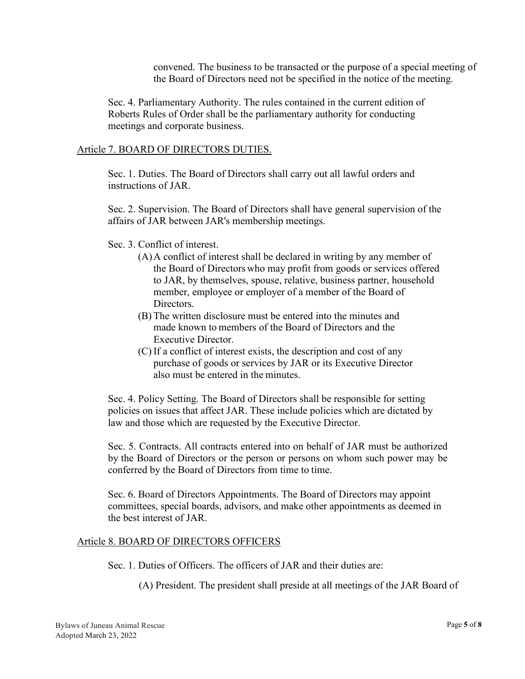convened. The business to be transacted or the purpose of a special meeting of the Board of Directors need not be specified in the notice of the meeting.

Sec. 4. Parliamentary Authority. The rules contained in the current edition of Roberts Rules of Order shall be the parliamentary authority for conducting meetings and corporate business.

## Article 7. BOARD OF DIRECTORS DUTIES.

Sec. 1. Duties. The Board of Directors shall carry out all lawful orders and instructions of JAR.

Sec. 2. Supervision. The Board of Directors shall have general supervision of the affairs of JAR between JAR's membership meetings.

Sec. 3. Conflict of interest.

- (A)A conflict of interest shall be declared in writing by any member of the Board of Directors who may profit from goods or services offered to JAR, by themselves, spouse, relative, business partner, household member, employee or employer of a member of the Board of Directors.
- (B) The written disclosure must be entered into the minutes and made known to members of the Board of Directors and the Executive Director.
- (C) If a conflict of interest exists, the description and cost of any purchase of goods or services by JAR or its Executive Director also must be entered in the minutes.

Sec. 4. Policy Setting. The Board of Directors shall be responsible for setting policies on issues that affect JAR. These include policies which are dictated by law and those which are requested by the Executive Director.

Sec. 5. Contracts. All contracts entered into on behalf of JAR must be authorized by the Board of Directors or the person or persons on whom such power may be conferred by the Board of Directors from time to time.

Sec. 6. Board of Directors Appointments. The Board of Directors may appoint committees, special boards, advisors, and make other appointments as deemed in the best interest of JAR.

## Article 8. BOARD OF DIRECTORS OFFICERS

Sec. 1. Duties of Officers. The officers of JAR and their duties are:

(A) President. The president shall preside at all meetings of the JAR Board of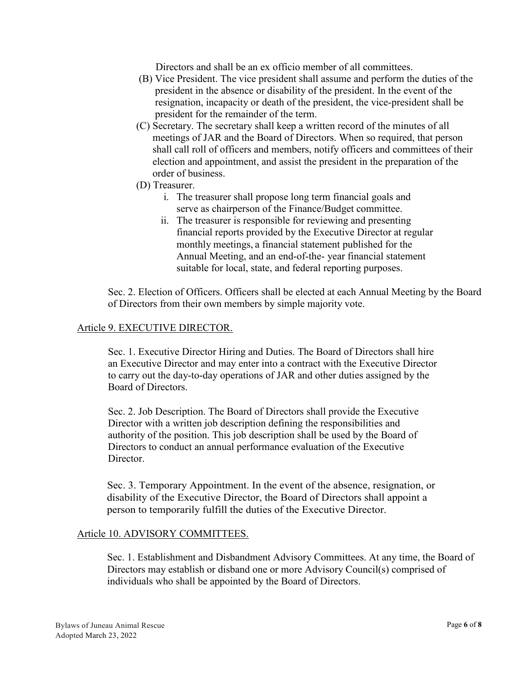Directors and shall be an ex officio member of all committees.

- (B) Vice President. The vice president shall assume and perform the duties of the president in the absence or disability of the president. In the event of the resignation, incapacity or death of the president, the vice-president shall be president for the remainder of the term.
- (C) Secretary. The secretary shall keep a written record of the minutes of all meetings of JAR and the Board of Directors. When so required, that person shall call roll of officers and members, notify officers and committees of their election and appointment, and assist the president in the preparation of the order of business.
- (D) Treasurer.
	- i. The treasurer shall propose long term financial goals and serve as chairperson of the Finance/Budget committee.
	- ii. The treasurer is responsible for reviewing and presenting financial reports provided by the Executive Director at regular monthly meetings, a financial statement published for the Annual Meeting, and an end-of-the- year financial statement suitable for local, state, and federal reporting purposes.

Sec. 2. Election of Officers. Officers shall be elected at each Annual Meeting by the Board of Directors from their own members by simple majority vote.

## Article 9. EXECUTIVE DIRECTOR.

Sec. 1. Executive Director Hiring and Duties. The Board of Directors shall hire an Executive Director and may enter into a contract with the Executive Director to carry out the day-to-day operations of JAR and other duties assigned by the Board of Directors.

Sec. 2. Job Description. The Board of Directors shall provide the Executive Director with a written job description defining the responsibilities and authority of the position. This job description shall be used by the Board of Directors to conduct an annual performance evaluation of the Executive Director.

Sec. 3. Temporary Appointment. In the event of the absence, resignation, or disability of the Executive Director, the Board of Directors shall appoint a person to temporarily fulfill the duties of the Executive Director.

## Article 10. ADVISORY COMMITTEES.

Sec. 1. Establishment and Disbandment Advisory Committees. At any time, the Board of Directors may establish or disband one or more Advisory Council(s) comprised of individuals who shall be appointed by the Board of Directors.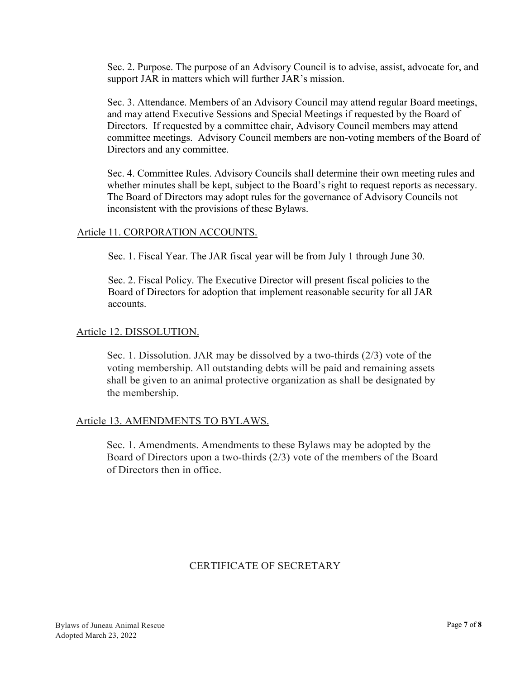Sec. 2. Purpose. The purpose of an Advisory Council is to advise, assist, advocate for, and support JAR in matters which will further JAR's mission.

Sec. 3. Attendance. Members of an Advisory Council may attend regular Board meetings, and may attend Executive Sessions and Special Meetings if requested by the Board of Directors. If requested by a committee chair, Advisory Council members may attend committee meetings. Advisory Council members are non-voting members of the Board of Directors and any committee.

Sec. 4. Committee Rules. Advisory Councils shall determine their own meeting rules and whether minutes shall be kept, subject to the Board's right to request reports as necessary. The Board of Directors may adopt rules for the governance of Advisory Councils not inconsistent with the provisions of these Bylaws.

# Article 11. CORPORATION ACCOUNTS.

Sec. 1. Fiscal Year. The JAR fiscal year will be from July 1 through June 30.

Sec. 2. Fiscal Policy. The Executive Director will present fiscal policies to the Board of Directors for adoption that implement reasonable security for all JAR accounts.

## Article 12. DISSOLUTION.

Sec. 1. Dissolution. JAR may be dissolved by a two-thirds (2/3) vote of the voting membership. All outstanding debts will be paid and remaining assets shall be given to an animal protective organization as shall be designated by the membership.

## Article 13. AMENDMENTS TO BYLAWS.

Sec. 1. Amendments. Amendments to these Bylaws may be adopted by the Board of Directors upon a two-thirds (2/3) vote of the members of the Board of Directors then in office.

# CERTIFICATE OF SECRETARY